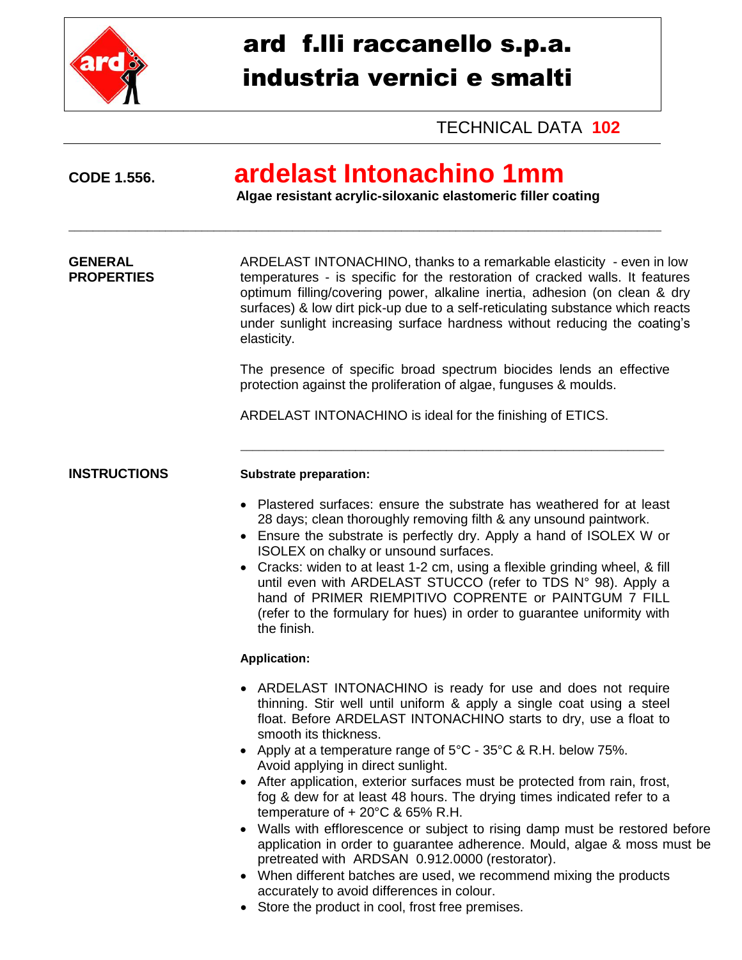

CODE 1.556.

# ard f.lli raccanello s.p.a. industria vernici e smalti

**TECHNICAL DATA 102** 

### ardelast Intonachino 1mm

Algae resistant acrylic-siloxanic elastomeric filler coating

**GENERAL** ARDELAST INTONACHINO, thanks to a remarkable elasticity - even in low **PROPERTIES** temperatures - is specific for the restoration of cracked walls. It features optimum filling/covering power, alkaline inertia, adhesion (on clean & dry surfaces) & low dirt pick-up due to a self-reticulating substance which reacts under sunlight increasing surface hardness without reducing the coating's elasticity.

> The presence of specific broad spectrum biocides lends an effective protection against the proliferation of algae, funguses & moulds.

ARDELAST INTONACHINO is ideal for the finishing of ETICS.

**INSTRUCTIONS** 

#### **Substrate preparation:**

- Plastered surfaces: ensure the substrate has weathered for at least 28 days; clean thoroughly removing filth & any unsound paintwork.
- Ensure the substrate is perfectly dry. Apply a hand of ISOLEX W or ISOLEX on chalky or unsound surfaces.
- Cracks: widen to at least 1-2 cm, using a flexible grinding wheel, & fill until even with ARDELAST STUCCO (refer to TDS N° 98). Apply a hand of PRIMER RIEMPITIVO COPRENTE or PAINTGUM 7 FILL (refer to the formulary for hues) in order to quarantee uniformity with the finish.

### **Application:**

- ARDELAST INTONACHINO is ready for use and does not require thinning. Stir well until uniform & apply a single coat using a steel float. Before ARDELAST INTONACHINO starts to dry, use a float to smooth its thickness.
- Apply at a temperature range of  $5^{\circ}$ C 35 $^{\circ}$ C & R.H. below 75%. Avoid applying in direct sunlight.
- After application, exterior surfaces must be protected from rain, frost, fog & dew for at least 48 hours. The drying times indicated refer to a temperature of + 20°C & 65% R.H.
- Walls with efflorescence or subject to rising damp must be restored before application in order to quarantee adherence. Mould, algae & moss must be pretreated with ARDSAN 0.912.0000 (restorator).
- When different batches are used, we recommend mixing the products accurately to avoid differences in colour.
- Store the product in cool, frost free premises.